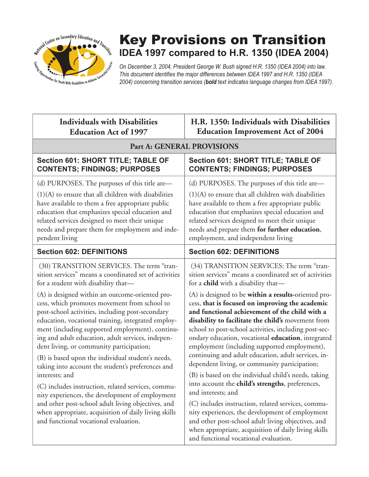

# Key Provisions on Transition **IDEA 1997 compared to H.R. 1350 (IDEA 2004)**

*On December 3, 2004, President George W. Bush signed H.R. 1350 (IDEA 2004) into law. This document identifies the major differences between IDEA 1997 and H.R. 1350 (IDEA 2004) concerning transition services (bold text indicates language changes from IDEA 1997).*

| <b>Individuals with Disabilities</b>                                                                                                                                                                                                                                                                                                                                                                                                                                                                                                                                                                                                                                                                                                                                                                                                                                                                    | H.R. 1350: Individuals with Disabilities                                                                                                                                                                                                                                                                                                                                                                                                                                                                                                                                                                                                                                                                                                                                                                                                                                                                                                                                                                                                              |  |
|---------------------------------------------------------------------------------------------------------------------------------------------------------------------------------------------------------------------------------------------------------------------------------------------------------------------------------------------------------------------------------------------------------------------------------------------------------------------------------------------------------------------------------------------------------------------------------------------------------------------------------------------------------------------------------------------------------------------------------------------------------------------------------------------------------------------------------------------------------------------------------------------------------|-------------------------------------------------------------------------------------------------------------------------------------------------------------------------------------------------------------------------------------------------------------------------------------------------------------------------------------------------------------------------------------------------------------------------------------------------------------------------------------------------------------------------------------------------------------------------------------------------------------------------------------------------------------------------------------------------------------------------------------------------------------------------------------------------------------------------------------------------------------------------------------------------------------------------------------------------------------------------------------------------------------------------------------------------------|--|
| <b>Education Act of 1997</b>                                                                                                                                                                                                                                                                                                                                                                                                                                                                                                                                                                                                                                                                                                                                                                                                                                                                            | <b>Education Improvement Act of 2004</b>                                                                                                                                                                                                                                                                                                                                                                                                                                                                                                                                                                                                                                                                                                                                                                                                                                                                                                                                                                                                              |  |
| Part A: GENERAL PROVISIONS                                                                                                                                                                                                                                                                                                                                                                                                                                                                                                                                                                                                                                                                                                                                                                                                                                                                              |                                                                                                                                                                                                                                                                                                                                                                                                                                                                                                                                                                                                                                                                                                                                                                                                                                                                                                                                                                                                                                                       |  |
| Section 601: SHORT TITLE; TABLE OF                                                                                                                                                                                                                                                                                                                                                                                                                                                                                                                                                                                                                                                                                                                                                                                                                                                                      | Section 601: SHORT TITLE; TABLE OF                                                                                                                                                                                                                                                                                                                                                                                                                                                                                                                                                                                                                                                                                                                                                                                                                                                                                                                                                                                                                    |  |
| <b>CONTENTS; FINDINGS; PURPOSES</b>                                                                                                                                                                                                                                                                                                                                                                                                                                                                                                                                                                                                                                                                                                                                                                                                                                                                     | <b>CONTENTS; FINDINGS; PURPOSES</b>                                                                                                                                                                                                                                                                                                                                                                                                                                                                                                                                                                                                                                                                                                                                                                                                                                                                                                                                                                                                                   |  |
| (d) PURPOSES. The purposes of this title are—                                                                                                                                                                                                                                                                                                                                                                                                                                                                                                                                                                                                                                                                                                                                                                                                                                                           | (d) PURPOSES. The purposes of this title are—                                                                                                                                                                                                                                                                                                                                                                                                                                                                                                                                                                                                                                                                                                                                                                                                                                                                                                                                                                                                         |  |
| $(1)(A)$ to ensure that all children with disabilities                                                                                                                                                                                                                                                                                                                                                                                                                                                                                                                                                                                                                                                                                                                                                                                                                                                  | $(1)(A)$ to ensure that all children with disabilities                                                                                                                                                                                                                                                                                                                                                                                                                                                                                                                                                                                                                                                                                                                                                                                                                                                                                                                                                                                                |  |
| have available to them a free appropriate public                                                                                                                                                                                                                                                                                                                                                                                                                                                                                                                                                                                                                                                                                                                                                                                                                                                        | have available to them a free appropriate public                                                                                                                                                                                                                                                                                                                                                                                                                                                                                                                                                                                                                                                                                                                                                                                                                                                                                                                                                                                                      |  |
| education that emphasizes special education and                                                                                                                                                                                                                                                                                                                                                                                                                                                                                                                                                                                                                                                                                                                                                                                                                                                         | education that emphasizes special education and                                                                                                                                                                                                                                                                                                                                                                                                                                                                                                                                                                                                                                                                                                                                                                                                                                                                                                                                                                                                       |  |
| related services designed to meet their unique                                                                                                                                                                                                                                                                                                                                                                                                                                                                                                                                                                                                                                                                                                                                                                                                                                                          | related services designed to meet their unique                                                                                                                                                                                                                                                                                                                                                                                                                                                                                                                                                                                                                                                                                                                                                                                                                                                                                                                                                                                                        |  |
| needs and prepare them for employment and inde-                                                                                                                                                                                                                                                                                                                                                                                                                                                                                                                                                                                                                                                                                                                                                                                                                                                         | needs and prepare them for further education,                                                                                                                                                                                                                                                                                                                                                                                                                                                                                                                                                                                                                                                                                                                                                                                                                                                                                                                                                                                                         |  |
| pendent living                                                                                                                                                                                                                                                                                                                                                                                                                                                                                                                                                                                                                                                                                                                                                                                                                                                                                          | employment, and independent living                                                                                                                                                                                                                                                                                                                                                                                                                                                                                                                                                                                                                                                                                                                                                                                                                                                                                                                                                                                                                    |  |
| <b>Section 602: DEFINITIONS</b>                                                                                                                                                                                                                                                                                                                                                                                                                                                                                                                                                                                                                                                                                                                                                                                                                                                                         | <b>Section 602: DEFINITIONS</b>                                                                                                                                                                                                                                                                                                                                                                                                                                                                                                                                                                                                                                                                                                                                                                                                                                                                                                                                                                                                                       |  |
| (30) TRANSITION SERVICES. The term "tran-<br>sition services" means a coordinated set of activities<br>for a student with disability that-<br>(A) is designed within an outcome-oriented pro-<br>cess, which promotes movement from school to<br>post-school activities, including post-secondary<br>education, vocational training, integrated employ-<br>ment (including supported employment), continu-<br>ing and adult education, adult services, indepen-<br>dent living, or community participation;<br>(B) is based upon the individual student's needs,<br>taking into account the student's preferences and<br>interests; and<br>(C) includes instruction, related services, commu-<br>nity experiences, the development of employment<br>and other post-school adult living objectives, and<br>when appropriate, acquisition of daily living skills<br>and functional vocational evaluation. | (34) TRANSITION SERVICES: The term "tran-<br>sition services" means a coordinated set of activities<br>for a <b>child</b> with a disability that-<br>(A) is designed to be <b>within a results</b> -oriented pro-<br>cess, that is focused on improving the academic<br>and functional achievement of the child with a<br>disability to facilitate the child's movement from<br>school to post-school activities, including post-sec-<br>ondary education, vocational education, integrated<br>employment (including supported employment),<br>continuing and adult education, adult services, in-<br>dependent living, or community participation;<br>(B) is based on the individual child's needs, taking<br>into account the child's strengths, preferences,<br>and interests; and<br>(C) includes instruction, related services, commu-<br>nity experiences, the development of employment<br>and other post-school adult living objectives, and<br>when appropriate, acquisition of daily living skills<br>and functional vocational evaluation. |  |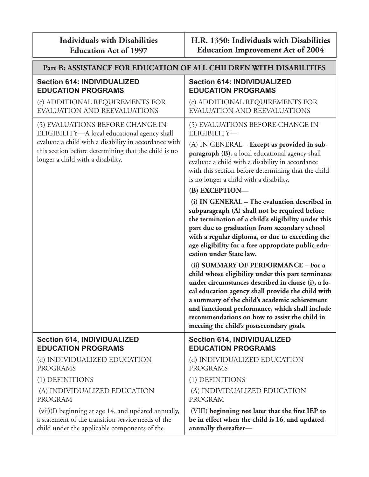| <b>Individuals with Disabilities</b> |  |
|--------------------------------------|--|
| <b>Education Act of 1997</b>         |  |

| Part B: ASSISTANCE FOR EDUCATION OF ALL CHILDREN WITH DISABILITIES                                                                                                                                                                     |                                                                                                                                                                                                                                                                                                                                                                                                                                                                                                                                                                                                                                                                                                                                                                     |  |
|----------------------------------------------------------------------------------------------------------------------------------------------------------------------------------------------------------------------------------------|---------------------------------------------------------------------------------------------------------------------------------------------------------------------------------------------------------------------------------------------------------------------------------------------------------------------------------------------------------------------------------------------------------------------------------------------------------------------------------------------------------------------------------------------------------------------------------------------------------------------------------------------------------------------------------------------------------------------------------------------------------------------|--|
| <b>Section 614: INDIVIDUALIZED</b>                                                                                                                                                                                                     | <b>Section 614: INDIVIDUALIZED</b>                                                                                                                                                                                                                                                                                                                                                                                                                                                                                                                                                                                                                                                                                                                                  |  |
| <b>EDUCATION PROGRAMS</b>                                                                                                                                                                                                              | <b>EDUCATION PROGRAMS</b>                                                                                                                                                                                                                                                                                                                                                                                                                                                                                                                                                                                                                                                                                                                                           |  |
| (c) ADDITIONAL REQUIREMENTS FOR                                                                                                                                                                                                        | (c) ADDITIONAL REQUIREMENTS FOR                                                                                                                                                                                                                                                                                                                                                                                                                                                                                                                                                                                                                                                                                                                                     |  |
| EVALUATION AND REEVALUATIONS                                                                                                                                                                                                           | <b>EVALUATION AND REEVALUATIONS</b>                                                                                                                                                                                                                                                                                                                                                                                                                                                                                                                                                                                                                                                                                                                                 |  |
| (5) EVALUATIONS BEFORE CHANGE IN<br>ELIGIBILITY-A local educational agency shall<br>evaluate a child with a disability in accordance with<br>this section before determining that the child is no<br>longer a child with a disability. | (5) EVALUATIONS BEFORE CHANGE IN<br>ELIGIBILITY-<br>(A) IN GENERAL - Except as provided in sub-<br>paragraph (B), a local educational agency shall<br>evaluate a child with a disability in accordance<br>with this section before determining that the child                                                                                                                                                                                                                                                                                                                                                                                                                                                                                                       |  |
|                                                                                                                                                                                                                                        | is no longer a child with a disability.                                                                                                                                                                                                                                                                                                                                                                                                                                                                                                                                                                                                                                                                                                                             |  |
|                                                                                                                                                                                                                                        | (B) EXCEPTION-<br>(i) IN GENERAL - The evaluation described in<br>subparagraph (A) shall not be required before<br>the termination of a child's eligibility under this<br>part due to graduation from secondary school<br>with a regular diploma, or due to exceeding the<br>age eligibility for a free appropriate public edu-<br>cation under State law.<br>(ii) SUMMARY OF PERFORMANCE - For a<br>child whose eligibility under this part terminates<br>under circumstances described in clause (i), a lo-<br>cal education agency shall provide the child with<br>a summary of the child's academic achievement<br>and functional performance, which shall include<br>recommendations on how to assist the child in<br>meeting the child's postsecondary goals. |  |
| <b>Section 614, INDIVIDUALIZED</b>                                                                                                                                                                                                     | <b>Section 614, INDIVIDUALIZED</b>                                                                                                                                                                                                                                                                                                                                                                                                                                                                                                                                                                                                                                                                                                                                  |  |
| <b>EDUCATION PROGRAMS</b>                                                                                                                                                                                                              | <b>EDUCATION PROGRAMS</b>                                                                                                                                                                                                                                                                                                                                                                                                                                                                                                                                                                                                                                                                                                                                           |  |
| (d) INDIVIDUALIZED EDUCATION                                                                                                                                                                                                           | (d) INDIVIDUALIZED EDUCATION                                                                                                                                                                                                                                                                                                                                                                                                                                                                                                                                                                                                                                                                                                                                        |  |
| <b>PROGRAMS</b>                                                                                                                                                                                                                        | <b>PROGRAMS</b>                                                                                                                                                                                                                                                                                                                                                                                                                                                                                                                                                                                                                                                                                                                                                     |  |
| (1) DEFINITIONS                                                                                                                                                                                                                        | (1) DEFINITIONS                                                                                                                                                                                                                                                                                                                                                                                                                                                                                                                                                                                                                                                                                                                                                     |  |
| (A) INDIVIDUALIZED EDUCATION                                                                                                                                                                                                           | (A) INDIVIDUALIZED EDUCATION                                                                                                                                                                                                                                                                                                                                                                                                                                                                                                                                                                                                                                                                                                                                        |  |
| <b>PROGRAM</b>                                                                                                                                                                                                                         | <b>PROGRAM</b>                                                                                                                                                                                                                                                                                                                                                                                                                                                                                                                                                                                                                                                                                                                                                      |  |
| (vii)(I) beginning at age 14, and updated annually,                                                                                                                                                                                    | (VIII) beginning not later that the first IEP to                                                                                                                                                                                                                                                                                                                                                                                                                                                                                                                                                                                                                                                                                                                    |  |
| a statement of the transition service needs of the                                                                                                                                                                                     | be in effect when the child is 16, and updated                                                                                                                                                                                                                                                                                                                                                                                                                                                                                                                                                                                                                                                                                                                      |  |
| child under the applicable components of the                                                                                                                                                                                           | annually thereafter-                                                                                                                                                                                                                                                                                                                                                                                                                                                                                                                                                                                                                                                                                                                                                |  |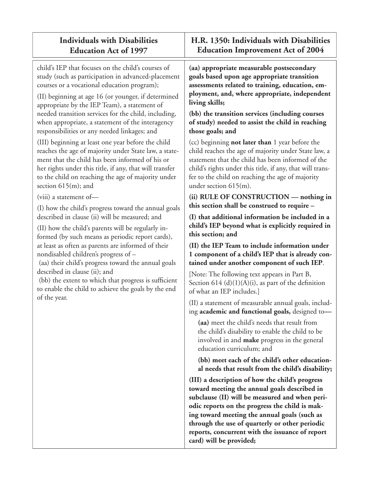## **Individuals with Disabilities Education Act of 1997**

child's IEP that focuses on the child's courses of study (such as participation in advanced-placement courses or a vocational education program);

(II) beginning at age 16 (or younger, if determined appropriate by the IEP Team), a statement of needed transition services for the child, including, when appropriate, a statement of the interagency responsibilities or any needed linkages; and

(III) beginning at least one year before the child reaches the age of majority under State law, a statement that the child has been informed of his or her rights under this title, if any, that will transfer to the child on reaching the age of majority under section 615(m); and

(viii) a statement of—

(I) how the child's progress toward the annual goals described in clause (ii) will be measured; and

(II) how the child's parents will be regularly informed (by such means as periodic report cards), at least as often as parents are informed of their nondisabled children's progress of –

 (aa) their child's progress toward the annual goals described in clause (ii); and

(bb) the extent to which that progress is sufficient to enable the child to achieve the goals by the end of the year.

### **H.R. 1350: Individuals with Disabilities Education Improvement Act of 2004**

**(aa) appropriate measurable postsecondary goals based upon age appropriate transition assessments related to training, education, employment, and, where appropriate, independent living skills;** 

**(bb) the transition services (including courses of study) needed to assist the child in reaching those goals; and**

(cc) beginning **not later than** 1 year before the child reaches the age of majority under State law, a statement that the child has been informed of the child's rights under this title, if any, that will transfer to the child on reaching the age of majority under section 615(m).

**(ii) RULE OF CONSTRUCTION — nothing in this section shall be construed to require –**

**(I) that additional information be included in a child's IEP beyond what is explicitly required in this section; and**

**(II) the IEP Team to include information under 1 component of a child's IEP that is already contained under another component of such IEP**.

[Note: The following text appears in Part B, Section  $614 \text{ (d)}(1)(A)(i)$ , as part of the definition of what an IEP includes.]

(II) a statement of measurable annual goals, including **academic and functional goals**, designed to—

**(aa)** meet the child's needs that result from the child's disability to enable the child to be involved in and **make** progress in the general education curriculum; and

**(bb) meet each of the child's other educational needs that result from the child's disability;**

**(III) a description of how the child's progress toward meeting the annual goals described in subclause (II) will be measured and when periodic reports on the progress the child is making toward meeting the annual goals (such as through the use of quarterly or other periodic reports, concurrent with the issuance of report card) will be provided;**